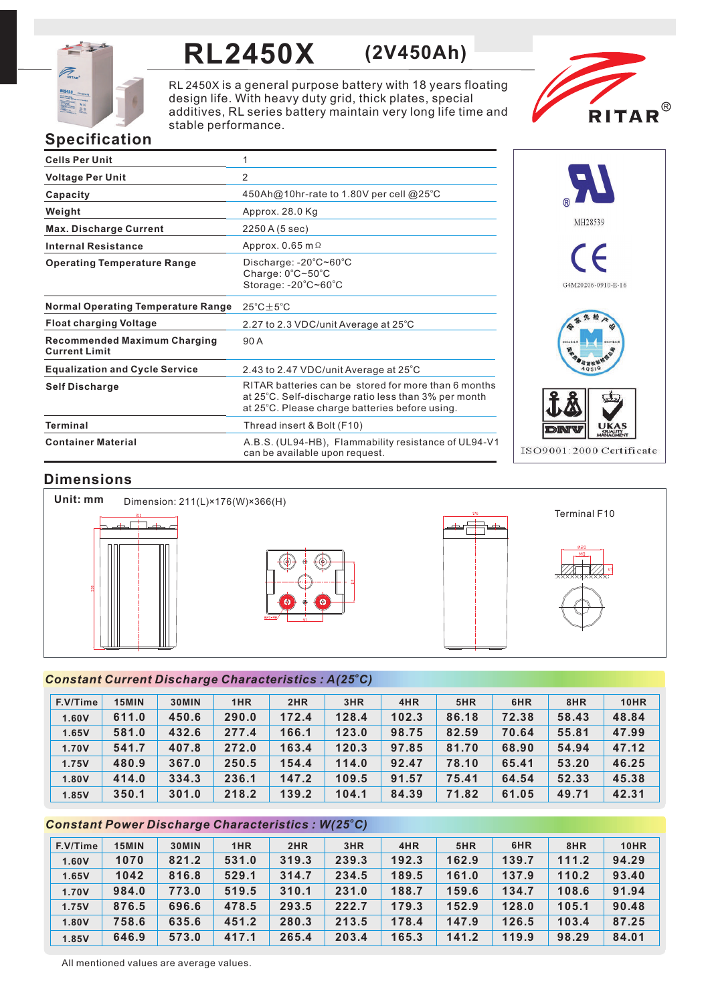

# **RL2450X (2V450Ah)**

RL 2450X is a general purpose battery with 18 years floating design life. With heavy duty grid, thick plates, special additives, RL series battery maintain very long life time and stable performance.



## **Specification**

| <b>Cells Per Unit</b>                                       | 1                                                                                                                                                              |
|-------------------------------------------------------------|----------------------------------------------------------------------------------------------------------------------------------------------------------------|
| <b>Voltage Per Unit</b>                                     | 2                                                                                                                                                              |
| Capacity                                                    | 450Ah@10hr-rate to 1.80V per cell @25°C                                                                                                                        |
| Weight                                                      | Approx. 28.0 Kg                                                                                                                                                |
| <b>Max. Discharge Current</b>                               | 2250 A (5 sec)                                                                                                                                                 |
| <b>Internal Resistance</b>                                  | Approx. 0.65 m $\Omega$                                                                                                                                        |
| <b>Operating Temperature Range</b>                          | Discharge: $-20^{\circ}$ C $\sim$ 60 $^{\circ}$ C<br>Charge: 0°C~50°C<br>Storage: -20°C~60°C                                                                   |
| <b>Normal Operating Temperature Range</b>                   | $25^{\circ}$ C $\pm$ 5 $^{\circ}$ C                                                                                                                            |
| <b>Float charging Voltage</b>                               | 2.27 to 2.3 VDC/unit Average at 25°C                                                                                                                           |
| <b>Recommended Maximum Charging</b><br><b>Current Limit</b> | 90A                                                                                                                                                            |
| <b>Equalization and Cycle Service</b>                       | 2.43 to 2.47 VDC/unit Average at 25°C                                                                                                                          |
| <b>Self Discharge</b>                                       | RITAR batteries can be stored for more than 6 months<br>at 25°C. Self-discharge ratio less than 3% per month<br>at 25°C. Please charge batteries before using. |
| <b>Terminal</b>                                             | Thread insert & Bolt (F10)                                                                                                                                     |
| <b>Container Material</b>                                   | A.B.S. (UL94-HB), Flammability resistance of UL94-V1<br>can be available upon request.                                                                         |



## **Dimensions**



### *<sup>o</sup> Constant Current Discharge Characteristics : A(25 C)*

| F.V/Time | 15MIN | 30MIN | 1HR   | 2HR   | 3HR   | 4HR   | 5HR   | 6HR   | 8HR   | <b>10HR</b> |
|----------|-------|-------|-------|-------|-------|-------|-------|-------|-------|-------------|
| 1.60V    | 611.0 | 450.6 | 290.0 | 172.4 | 128.4 | 102.3 | 86.18 | 72.38 | 58.43 | 48.84       |
| 1.65V    | 581.0 | 432.6 | 277.4 | 166.1 | 123.0 | 98.75 | 82.59 | 70.64 | 55.81 | 47.99       |
| 1.70V    | 541.7 | 407.8 | 272.0 | 163.4 | 120.3 | 97.85 | 81.70 | 68.90 | 54.94 | 47.12       |
| 1.75V    | 480.9 | 367.0 | 250.5 | 154.4 | 114.0 | 92.47 | 78.10 | 65.41 | 53.20 | 46.25       |
| 1.80V    | 414.0 | 334.3 | 236.1 | 147.2 | 109.5 | 91.57 | 75.41 | 64.54 | 52.33 | 45.38       |
| 1.85V    | 350.1 | 301.0 | 218.2 | 139.2 | 104.1 | 84.39 | 71.82 | 61.05 | 49.71 | 42.31       |

### *<sup>o</sup> Constant Power Discharge Characteristics : W(25 C)*

| F.V/Time | 15MIN | 30MIN | 1HR   | 2HR   | 3HR   | 4HR   | 5HR   | 6HR   | 8HR   | <b>10HR</b> |
|----------|-------|-------|-------|-------|-------|-------|-------|-------|-------|-------------|
| 1.60V    | 1070  | 821.2 | 531.0 | 319.3 | 239.3 | 192.3 | 162.9 | 139.7 | 111.2 | 94.29       |
| 1.65V    | 1042  | 816.8 | 529.1 | 314.7 | 234.5 | 189.5 | 161.0 | 137.9 | 110.2 | 93.40       |
| 1.70V    | 984.0 | 773.0 | 519.5 | 310.1 | 231.0 | 188.7 | 159.6 | 134.7 | 108.6 | 91.94       |
| 1.75V    | 876.5 | 696.6 | 478.5 | 293.5 | 222.7 | 179.3 | 152.9 | 128.0 | 105.1 | 90.48       |
| 1.80V    | 758.6 | 635.6 | 451.2 | 280.3 | 213.5 | 178.4 | 147.9 | 126.5 | 103.4 | 87.25       |
| 1.85V    | 646.9 | 573.0 | 417.1 | 265.4 | 203.4 | 165.3 | 141.2 | 119.9 | 98.29 | 84.01       |

All mentioned values are average values.